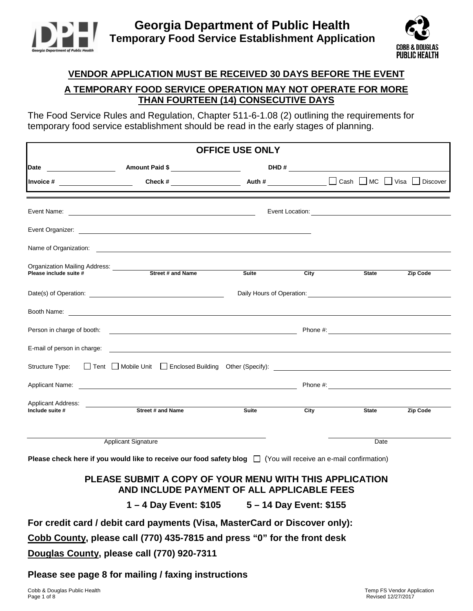



# **VENDOR APPLICATION MUST BE RECEIVED 30 DAYS BEFORE THE EVENT A TEMPORARY FOOD SERVICE OPERATION MAY NOT OPERATE FOR MORE THAN FOURTEEN (14) CONSECUTIVE DAYS**

The Food Service Rules and Regulation, Chapter 511-6-1.08 (2) outlining the requirements for temporary food service establishment should be read in the early stages of planning.

| <b>OFFICE USE ONLY</b>                                                                                                        |                                                                                                                                                                                                                                      |              |      |                                |                                       |  |  |  |
|-------------------------------------------------------------------------------------------------------------------------------|--------------------------------------------------------------------------------------------------------------------------------------------------------------------------------------------------------------------------------------|--------------|------|--------------------------------|---------------------------------------|--|--|--|
| Date<br><u> Liston de la construcción de la construcción de la construcción de la construcción de la construcción de la c</u> | Amount Paid \$                                                                                                                                                                                                                       |              |      | DHD # $\overline{\phantom{a}}$ |                                       |  |  |  |
| Invoice # $\qquad \qquad$                                                                                                     |                                                                                                                                                                                                                                      |              |      |                                |                                       |  |  |  |
|                                                                                                                               |                                                                                                                                                                                                                                      |              |      |                                |                                       |  |  |  |
|                                                                                                                               |                                                                                                                                                                                                                                      |              |      |                                |                                       |  |  |  |
|                                                                                                                               |                                                                                                                                                                                                                                      |              |      |                                |                                       |  |  |  |
|                                                                                                                               |                                                                                                                                                                                                                                      | <b>Suite</b> | City | <b>State</b>                   | <b>Zip Code</b>                       |  |  |  |
|                                                                                                                               |                                                                                                                                                                                                                                      |              |      |                                |                                       |  |  |  |
|                                                                                                                               | Booth Name: <u>example and the contract of the contract of the contract of the contract of the contract of the contract of the contract of the contract of the contract of the contract of the contract of the contract of the c</u> |              |      |                                |                                       |  |  |  |
|                                                                                                                               | Person in charge of booth: <u>example and the set of the set of the set of the set of the set of the set of the set of the set of the set of the set of the set of the set of the set of the set of the set of the set of the se</u> |              |      |                                |                                       |  |  |  |
|                                                                                                                               | E-mail of person in charge: <u>example and contract and contract and contract and contract and contract and contract and contract and contract and contract and contract and contract and contract and contract and contract and</u> |              |      |                                |                                       |  |  |  |
|                                                                                                                               |                                                                                                                                                                                                                                      |              |      |                                |                                       |  |  |  |
|                                                                                                                               |                                                                                                                                                                                                                                      |              |      |                                |                                       |  |  |  |
|                                                                                                                               |                                                                                                                                                                                                                                      | <b>Suite</b> | City |                                | <b>State State</b><br><b>Zip Code</b> |  |  |  |
|                                                                                                                               | <b>Applicant Signature</b>                                                                                                                                                                                                           |              |      | Date                           |                                       |  |  |  |

**Please check here if you would like to receive our food safety blog**  $\Box$  (You will receive an e-mail confirmation)

### **PLEASE SUBMIT A COPY OF YOUR MENU WITH THIS APPLICATION AND INCLUDE PAYMENT OF ALL APPLICABLE FEES**

**1 – 4 Day Event: \$105 5 – 14 Day Event: \$155**

**For credit card / debit card payments (Visa, MasterCard or Discover only):**

**Cobb County, please call (770) 435-7815 and press "0" for the front desk**

**Douglas County, please call (770) 920-7311**

**Please see page 8 for mailing / faxing instructions**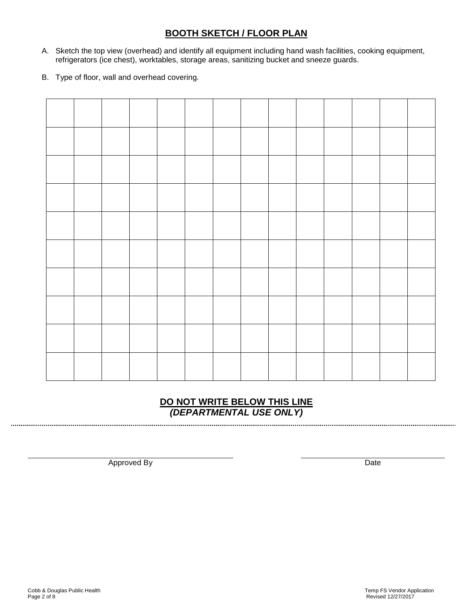## **BOOTH SKETCH / FLOOR PLAN**

- A. Sketch the top view (overhead) and identify all equipment including hand wash facilities, cooking equipment, refrigerators (ice chest), worktables, storage areas, sanitizing bucket and sneeze guards.
- B. Type of floor, wall and overhead covering.

### **DO NOT WRITE BELOW THIS LINE** *(DEPARTMENTAL USE ONLY)*

Approved By Date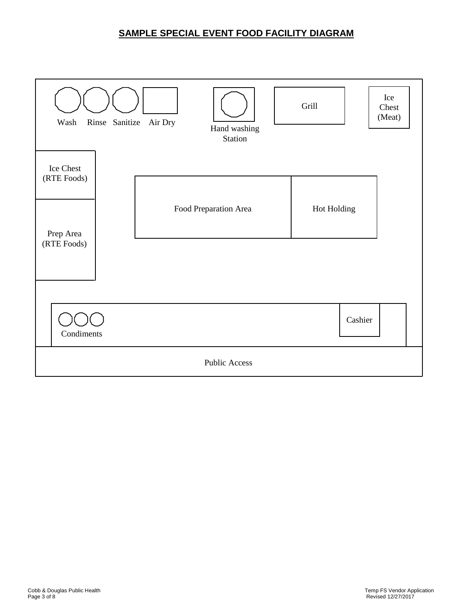# **SAMPLE SPECIAL EVENT FOOD FACILITY DIAGRAM**

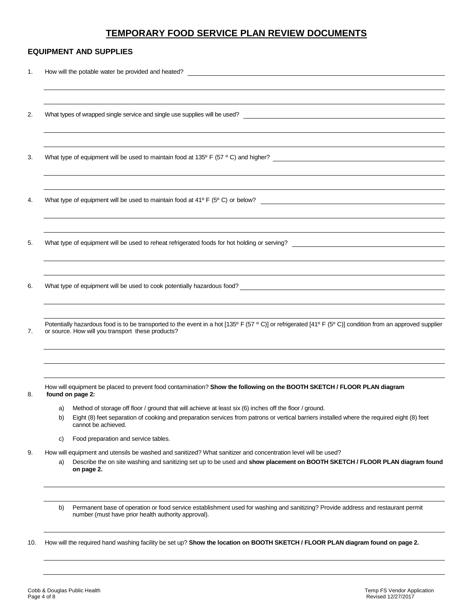### **TEMPORARY FOOD SERVICE PLAN REVIEW DOCUMENTS**

#### **EQUIPMENT AND SUPPLIES**

| 1.  |          | How will the potable water be provided and heated? _____________________________                                                                                                                                                                                             |
|-----|----------|------------------------------------------------------------------------------------------------------------------------------------------------------------------------------------------------------------------------------------------------------------------------------|
| 2.  |          |                                                                                                                                                                                                                                                                              |
|     |          |                                                                                                                                                                                                                                                                              |
| 3.  |          |                                                                                                                                                                                                                                                                              |
| 4.  |          | What type of equipment will be used to maintain food at $41^{\circ}$ F ( $5^{\circ}$ C) or below?                                                                                                                                                                            |
| 5.  |          | What type of equipment will be used to reheat refrigerated foods for hot holding or serving?<br><u> 1989 - John Stein, Amerikaansk politiker (</u> † 1920)                                                                                                                   |
|     |          | What type of equipment will be used to cook potentially hazardous food?<br>The state of equipment will be used to cook potentially hazardous food?                                                                                                                           |
| 7.  |          | Potentially hazardous food is to be transported to the event in a hot [135° F (57 ° C)] or refrigerated [41° F (5° C)] condition from an approved supplier<br>or source. How will you transport these products?                                                              |
|     |          | How will equipment be placed to prevent food contamination? Show the following on the BOOTH SKETCH / FLOOR PLAN diagram                                                                                                                                                      |
| 8.  |          | found on page 2:                                                                                                                                                                                                                                                             |
|     | a)<br>b) | Method of storage off floor / ground that will achieve at least six (6) inches off the floor / ground.<br>Eight (8) feet separation of cooking and preparation services from patrons or vertical barriers installed where the required eight (8) feet<br>cannot be achieved. |
|     | C)       | Food preparation and service tables.                                                                                                                                                                                                                                         |
| 9.  |          | How will equipment and utensils be washed and sanitized? What sanitizer and concentration level will be used?                                                                                                                                                                |
|     | a)       | Describe the on site washing and sanitizing set up to be used and show placement on BOOTH SKETCH / FLOOR PLAN diagram found<br>on page 2.                                                                                                                                    |
|     | b)       | Permanent base of operation or food service establishment used for washing and sanitizing? Provide address and restaurant permit<br>number (must have prior health authority approval).                                                                                      |
| 10. |          | How will the required hand washing facility be set up? Show the location on BOOTH SKETCH / FLOOR PLAN diagram found on page 2.                                                                                                                                               |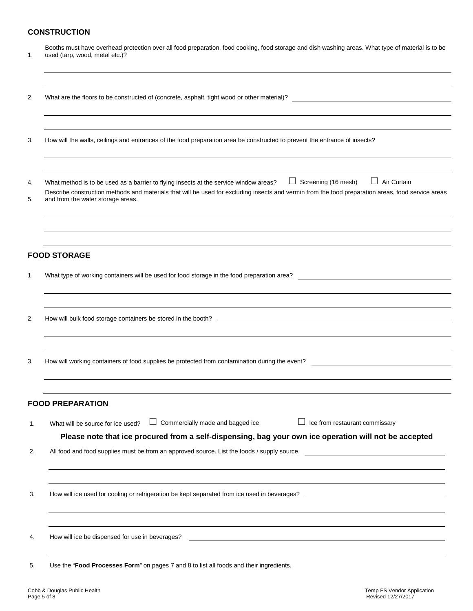#### **CONSTRUCTION**

| 1.       | Booths must have overhead protection over all food preparation, food cooking, food storage and dish washing areas. What type of material is to be<br>used (tarp, wood, metal etc.)?                                                                                                                                           |
|----------|-------------------------------------------------------------------------------------------------------------------------------------------------------------------------------------------------------------------------------------------------------------------------------------------------------------------------------|
| 2.       | What are the floors to be constructed of (concrete, asphalt, tight wood or other material)?<br><u> 1980 - Jan Stein Stein, fransk politik (f. 1980)</u>                                                                                                                                                                       |
| 3.       | How will the walls, ceilings and entrances of the food preparation area be constructed to prevent the entrance of insects?                                                                                                                                                                                                    |
| 4.<br>5. | $\Box$ Screening (16 mesh)<br>Air Curtain<br>What method is to be used as a barrier to flying insects at the service window areas?<br>Describe construction methods and materials that will be used for excluding insects and vermin from the food preparation areas, food service areas<br>and from the water storage areas. |
|          | <b>FOOD STORAGE</b>                                                                                                                                                                                                                                                                                                           |
| 1.       | What type of working containers will be used for food storage in the food preparation area?                                                                                                                                                                                                                                   |
| 2.       | How will bulk food storage containers be stored in the booth?<br><u> 1989 - Johann Barbara, martin amerikan basal dan berasal dan berasal dalam basal dan berasal dan berasal dan</u>                                                                                                                                         |
| 3.       | How will working containers of food supplies be protected from contamination during the event?                                                                                                                                                                                                                                |
|          | <b>FOOD PREPARATION</b>                                                                                                                                                                                                                                                                                                       |
| 1.       | $\Box$ Commercially made and bagged ice<br>$\Box$ Ice from restaurant commissary<br>What will be source for ice used?                                                                                                                                                                                                         |
| 2.       | Please note that ice procured from a self-dispensing, bag your own ice operation will not be accepted<br>All food and food supplies must be from an approved source. List the foods / supply source.                                                                                                                          |
| 3.       | How will ice used for cooling or refrigeration be kept separated from ice used in beverages?                                                                                                                                                                                                                                  |
| 4.       | How will ice be dispensed for use in beverages?                                                                                                                                                                                                                                                                               |
| 5.       | Use the "Food Processes Form" on pages 7 and 8 to list all foods and their ingredients.                                                                                                                                                                                                                                       |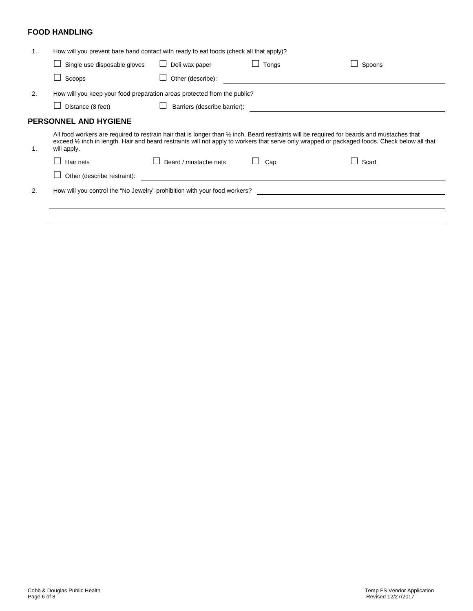#### **FOOD HANDLING**

| $\mathbf{1}$ . | How will you prevent bare hand contact with ready to eat foods (check all that apply)?                                                                                                                                                                                                                                  |                       |              |        |  |  |  |  |  |  |
|----------------|-------------------------------------------------------------------------------------------------------------------------------------------------------------------------------------------------------------------------------------------------------------------------------------------------------------------------|-----------------------|--------------|--------|--|--|--|--|--|--|
|                | Single use disposable gloves                                                                                                                                                                                                                                                                                            | Deli wax paper        | $\Box$ Tongs | Spoons |  |  |  |  |  |  |
|                | Scoops                                                                                                                                                                                                                                                                                                                  | Other (describe):     |              |        |  |  |  |  |  |  |
| 2.             | How will you keep your food preparation areas protected from the public?                                                                                                                                                                                                                                                |                       |              |        |  |  |  |  |  |  |
|                | Distance (8 feet)<br>Barriers (describe barrier):                                                                                                                                                                                                                                                                       |                       |              |        |  |  |  |  |  |  |
|                | <b>PERSONNEL AND HYGIENE</b>                                                                                                                                                                                                                                                                                            |                       |              |        |  |  |  |  |  |  |
| 1.             | All food workers are required to restrain hair that is longer than $\frac{1}{2}$ inch. Beard restraints will be required for beards and mustaches that<br>exceed 1/2 inch in length. Hair and beard restraints will not apply to workers that serve only wrapped or packaged foods. Check below all that<br>will apply. |                       |              |        |  |  |  |  |  |  |
|                | Hair nets                                                                                                                                                                                                                                                                                                               | Beard / mustache nets | Cap          | Scarf  |  |  |  |  |  |  |
|                | Other (describe restraint):                                                                                                                                                                                                                                                                                             |                       |              |        |  |  |  |  |  |  |
| 2.             | How will you control the "No Jewelry" prohibition with your food workers?                                                                                                                                                                                                                                               |                       |              |        |  |  |  |  |  |  |
|                |                                                                                                                                                                                                                                                                                                                         |                       |              |        |  |  |  |  |  |  |
|                |                                                                                                                                                                                                                                                                                                                         |                       |              |        |  |  |  |  |  |  |
|                |                                                                                                                                                                                                                                                                                                                         |                       |              |        |  |  |  |  |  |  |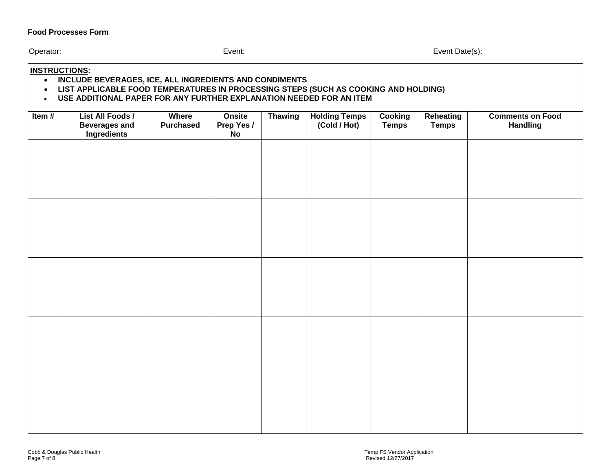#### **Food Processes Form**

Operator: Event: Event Date(s):

#### **INSTRUCTIONS:**

• **INCLUDE BEVERAGES, ICE, ALL INGREDIENTS AND CONDIMENTS**

• **LIST APPLICABLE FOOD TEMPERATURES IN PROCESSING STEPS (SUCH AS COOKING AND HOLDING)**

• **USE ADDITIONAL PAPER FOR ANY FURTHER EXPLANATION NEEDED FOR AN ITEM**

| Item $#$ | List All Foods /<br>Beverages and<br>Ingredients | Where<br><b>Purchased</b> | <b>Onsite</b><br>Prep Yes /<br>.<br>No | <b>Thawing</b> | <b>Holding Temps</b><br>(Cold / Hot) | <b>Cooking</b><br>Temps | Reheating<br><b>Temps</b> | <b>Comments on Food</b><br>Handling |
|----------|--------------------------------------------------|---------------------------|----------------------------------------|----------------|--------------------------------------|-------------------------|---------------------------|-------------------------------------|
|          |                                                  |                           |                                        |                |                                      |                         |                           |                                     |
|          |                                                  |                           |                                        |                |                                      |                         |                           |                                     |
|          |                                                  |                           |                                        |                |                                      |                         |                           |                                     |
|          |                                                  |                           |                                        |                |                                      |                         |                           |                                     |
|          |                                                  |                           |                                        |                |                                      |                         |                           |                                     |
|          |                                                  |                           |                                        |                |                                      |                         |                           |                                     |
|          |                                                  |                           |                                        |                |                                      |                         |                           |                                     |
|          |                                                  |                           |                                        |                |                                      |                         |                           |                                     |
|          |                                                  |                           |                                        |                |                                      |                         |                           |                                     |
|          |                                                  |                           |                                        |                |                                      |                         |                           |                                     |